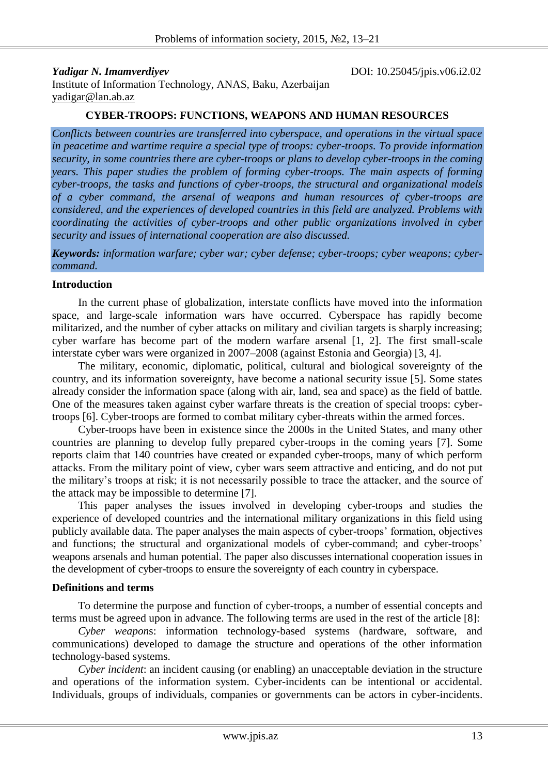*Yadigar N. Imamverdiyev* DOI: 10.25045/jpis.v06.i2.02

Institute of Information Technology, ANAS, Baku, Azerbaijan [yadigar@lan.ab.az](mailto:yadigar@lan.ab.az)

## **CYBER-TROOPS: FUNCTIONS, WEAPONS AND HUMAN RESOURCES**

*Conflicts between countries are transferred into cyberspace, and operations in the virtual space in peacetime and wartime require a special type of troops: cyber-troops. To provide information security, in some countries there are cyber-troops or plans to develop cyber-troops in the coming years. This paper studies the problem of forming cyber-troops. The main aspects of forming cyber-troops, the tasks and functions of cyber-troops, the structural and organizational models of a cyber command, the arsenal of weapons and human resources of cyber-troops are considered, and the experiences of developed countries in this field are analyzed. Problems with coordinating the activities of cyber-troops and other public organizations involved in cyber security and issues of international cooperation are also discussed.*

*Keywords: information warfare; cyber war; cyber defense; cyber-troops; cyber weapons; cybercommand.*

## **Introduction**

In the current phase of globalization, interstate conflicts have moved into the information space, and large-scale information wars have occurred. Cyberspace has rapidly become militarized, and the number of cyber attacks on military and civilian targets is sharply increasing; cyber warfare has become part of the modern warfare arsenal [1, 2]. The first small-scale interstate cyber wars were organized in 2007–2008 (against Estonia and Georgia) [3, 4].

The military, economic, diplomatic, political, cultural and biological sovereignty of the country, and its information sovereignty, have become a national security issue [5]. Some states already consider the information space (along with air, land, sea and space) as the field of battle. One of the measures taken against cyber warfare threats is the creation of special troops: cybertroops [6]. Cyber-troops are formed to combat military cyber-threats within the armed forces.

Cyber-troops have been in existence since the 2000s in the United States, and many other countries are planning to develop fully prepared cyber-troops in the coming years [7]. Some reports claim that 140 countries have created or expanded cyber-troops, many of which perform attacks. From the military point of view, cyber wars seem attractive and enticing, and do not put the military's troops at risk; it is not necessarily possible to trace the attacker, and the source of the attack may be impossible to determine [7].

This paper analyses the issues involved in developing cyber-troops and studies the experience of developed countries and the international military organizations in this field using publicly available data. The paper analyses the main aspects of cyber-troops' formation, objectives and functions; the structural and organizational models of cyber-command; and cyber-troops' weapons arsenals and human potential. The paper also discusses international cooperation issues in the development of cyber-troops to ensure the sovereignty of each country in cyberspace.

#### **Definitions and terms**

To determine the purpose and function of cyber-troops, a number of essential concepts and terms must be agreed upon in advance. The following terms are used in the rest of the article [8]:

*Cyber weapon*s: information technology-based systems (hardware, software, and communications) developed to damage the structure and operations of the other information technology-based systems.

*Cyber incident*: an incident causing (or enabling) an unacceptable deviation in the structure and operations of the information system. Cyber-incidents can be intentional or accidental. Individuals, groups of individuals, companies or governments can be actors in cyber-incidents.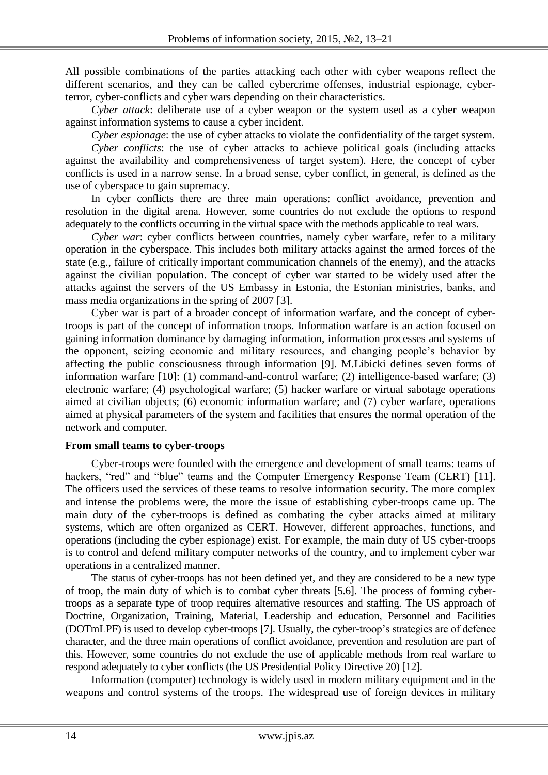All possible combinations of the parties attacking each other with cyber weapons reflect the different scenarios, and they can be called cybercrime offenses, industrial espionage, cyberterror, cyber-conflicts and cyber wars depending on their characteristics.

*Cyber attack*: deliberate use of a cyber weapon or the system used as a cyber weapon against information systems to cause a cyber incident.

*Cyber espionage*: the use of cyber attacks to violate the confidentiality of the target system.

*Cyber conflicts*: the use of cyber attacks to achieve political goals (including attacks against the availability and comprehensiveness of target system). Here, the concept of cyber conflicts is used in a narrow sense. In a broad sense, cyber conflict, in general, is defined as the use of cyberspace to gain supremacy.

In cyber conflicts there are three main operations: conflict avoidance, prevention and resolution in the digital arena. However, some countries do not exclude the options to respond adequately to the conflicts occurring in the virtual space with the methods applicable to real wars.

*Cyber war*: cyber conflicts between countries, namely cyber warfare, refer to a military operation in the cyberspace. This includes both military attacks against the armed forces of the state (e.g., failure of critically important communication channels of the enemy), and the attacks against the civilian population. The concept of cyber war started to be widely used after the attacks against the servers of the US Embassy in Estonia, the Estonian ministries, banks, and mass media organizations in the spring of 2007 [3].

Cyber war is part of a broader concept of information warfare, and the concept of cybertroops is part of the concept of information troops. Information warfare is an action focused on gaining information dominance by damaging information, information processes and systems of the opponent, seizing economic and military resources, and changing people's behavior by affecting the public consciousness through information [9]. M.Libicki defines seven forms of information warfare [10]: (1) command-and-control warfare; (2) intelligence-based warfare; (3) electronic warfare; (4) psychological warfare; (5) hacker warfare or virtual sabotage operations aimed at civilian objects; (6) economic information warfare; and (7) cyber warfare, operations aimed at physical parameters of the system and facilities that ensures the normal operation of the network and computer.

# **From small teams to cyber-troops**

Cyber-troops were founded with the emergence and development of small teams: teams of hackers, "red" and "blue" teams and the Computer Emergency Response Team (CERT) [11]. The officers used the services of these teams to resolve information security. The more complex and intense the problems were, the more the issue of establishing cyber-troops came up. The main duty of the cyber-troops is defined as combating the cyber attacks aimed at military systems, which are often organized as CERT. However, different approaches, functions, and operations (including the cyber espionage) exist. For example, the main duty of US cyber-troops is to control and defend military computer networks of the country, and to implement cyber war operations in a centralized manner.

The status of cyber-troops has not been defined yet, and they are considered to be a new type of troop, the main duty of which is to combat cyber threats [5.6]. The process of forming cybertroops as a separate type of troop requires alternative resources and staffing. The US approach of Doctrine, Organization, Training, Material, Leadership and education, Personnel and Facilities (DOTmLPF) is used to develop cyber-troops [7]. Usually, the cyber-troop's strategies are of defence character, and the three main operations of conflict avoidance, prevention and resolution are part of this. However, some countries do not exclude the use of applicable methods from real warfare to respond adequately to cyber conflicts (the US Presidential Policy Directive 20) [12].

Information (computer) technology is widely used in modern military equipment and in the weapons and control systems of the troops. The widespread use of foreign devices in military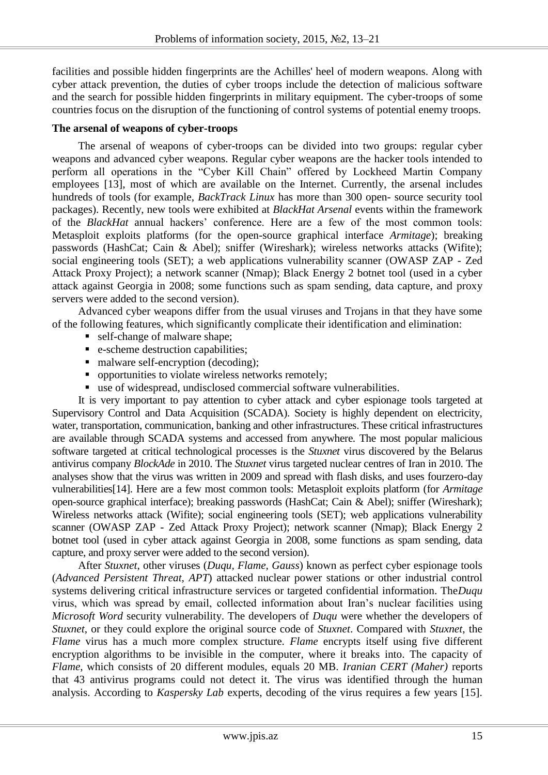facilities and possible hidden fingerprints are the Achilles' heel of modern weapons. Along with cyber attack prevention, the duties of cyber troops include the detection of malicious software and the search for possible hidden fingerprints in military equipment. The cyber-troops of some countries focus on the disruption of the functioning of control systems of potential enemy troops.

# **The arsenal of weapons of cyber-troops**

The arsenal of weapons of cyber-troops can be divided into two groups: regular cyber weapons and advanced cyber weapons. Regular cyber weapons are the hacker tools intended to perform all operations in the "Cyber Kill Chain" offered by Lockheed Martin Company employees [13], most of which are available on the Internet. Currently, the arsenal includes hundreds of tools (for example, *BackTrack Linux* has more than 300 open- source security tool packages). Recently, new tools were exhibited at *BlackHat Arsenal* events within the framework of the *BlackHat* annual hackers' conference. Here are a few of the most common tools: Metasploit exploits platforms (for the open-source graphical interface *Armitage*); breaking passwords (HashCat; Cain & Abel); sniffer (Wireshark); wireless networks attacks (Wifite); social engineering tools (SET); a web applications vulnerability scanner (OWASP ZAP - Zed Attack Proxy Project); a network scanner (Nmap); Black Energy 2 botnet tool (used in a cyber attack against Georgia in 2008; some functions such as spam sending, data capture, and proxy servers were added to the second version).

Advanced cyber weapons differ from the usual viruses and Trojans in that they have some of the following features, which significantly complicate their identification and elimination:

- self-change of malware shape;
- e-scheme destruction capabilities;
- malware self-encryption (decoding);
- opportunities to violate wireless networks remotely;
- use of widespread, undisclosed commercial software vulnerabilities.

It is very important to pay attention to cyber attack and cyber espionage tools targeted at Supervisory Control and Data Acquisition (SCADA). Society is highly dependent on electricity, water, transportation, communication, banking and other infrastructures. These critical infrastructures are available through SCADA systems and accessed from anywhere. The most popular malicious software targeted at critical technological processes is the *Stuxnet* virus discovered by the Belarus antivirus company *BlockAde* in 2010. The *Stuxnet* virus targeted nuclear centres of Iran in 2010. The analyses show that the virus was written in 2009 and spread with flash disks, and uses fourzero-day vulnerabilities[14]. Here are a few most common tools: Metasploit exploits platform (for *Armitage* open-source graphical interface); breaking passwords (HashCat; Cain & Abel); sniffer (Wireshark); Wireless networks attack (Wifite); social engineering tools (SET); web applications vulnerability scanner (OWASP ZAP - Zed Attack Proxy Project); network scanner (Nmap); Black Energy 2 botnet tool (used in cyber attack against Georgia in 2008, some functions as spam sending, data capture, and proxy server were added to the second version).

After *Stuxnet*, other viruses (*Duqu, Flame, Gauss*) known as perfect cyber espionage tools (*Advanced Persistent Threat, APT*) attacked nuclear power stations or other industrial control systems delivering critical infrastructure services or targeted confidential information. The*Duqu* virus, which was spread by email, collected information about Iran's nuclear facilities using *Microsoft Word* security vulnerability. The developers of *Duqu* were whether the developers of *Stuxnet*, or they could explore the original source code of *Stuxnet*. Compared with *Stuxnet*, the *Flame* virus has a much more complex structure. *Flame* encrypts itself using five different encryption algorithms to be invisible in the computer, where it breaks into. The capacity of *Flame*, which consists of 20 different modules, equals 20 MB. *Iranian CERT (Maher)* reports that 43 antivirus programs could not detect it. The virus was identified through the human analysis. According to *Kaspersky Lab* experts, decoding of the virus requires a few years [15].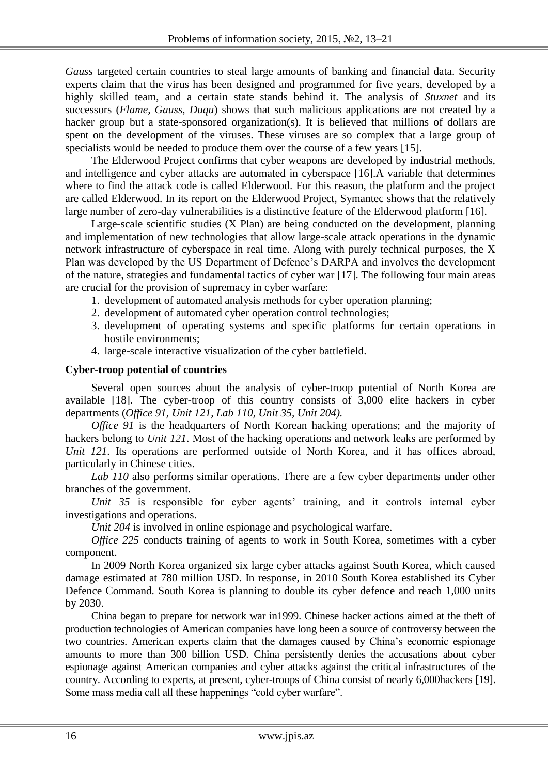*Gauss* targeted certain countries to steal large amounts of banking and financial data. Security experts claim that the virus has been designed and programmed for five years, developed by a highly skilled team, and a certain state stands behind it. The analysis of *Stuxnet* and its successors (*Flame, Gauss, Duqu*) shows that such malicious applications are not created by a hacker group but a state-sponsored organization(s). It is believed that millions of dollars are spent on the development of the viruses. These viruses are so complex that a large group of specialists would be needed to produce them over the course of a few years [15].

The Elderwood Project confirms that cyber weapons are developed by industrial methods, and intelligence and cyber attacks are automated in cyberspace [16].A variable that determines where to find the attack code is called Elderwood. For this reason, the platform and the project are called Elderwood. In its report on the Elderwood Project, Symantec shows that the relatively large number of zero-day vulnerabilities is a distinctive feature of the Elderwood platform [16].

Large-scale scientific studies (X Plan) are being conducted on the development, planning and implementation of new technologies that allow large-scale attack operations in the dynamic network infrastructure of cyberspace in real time. Along with purely technical purposes, the X Plan was developed by the US Department of Defence's DARPA and involves the development of the nature, strategies and fundamental tactics of cyber war [17]. The following four main areas are crucial for the provision of supremacy in cyber warfare:

- 1. development of automated analysis methods for cyber operation planning;
- 2. development of automated cyber operation control technologies;
- 3. development of operating systems and specific platforms for certain operations in hostile environments;
- 4. large-scale interactive visualization of the cyber battlefield.

#### **Cyber-troop potential of countries**

Several open sources about the analysis of cyber-troop potential of North Korea are available [18]. The cyber-troop of this country consists of 3,000 elite hackers in cyber departments (*Office 91, Unit 121, Lab 110, Unit 35, Unit 204).*

*Office 91* is the headquarters of North Korean hacking operations; and the majority of hackers belong to *Unit 121*. Most of the hacking operations and network leaks are performed by *Unit 121*. Its operations are performed outside of North Korea, and it has offices abroad, particularly in Chinese cities.

*Lab 110* also performs similar operations. There are a few cyber departments under other branches of the government.

*Unit 35* is responsible for cyber agents' training, and it controls internal cyber investigations and operations.

*Unit 204* is involved in online espionage and psychological warfare.

*Office 225* conducts training of agents to work in South Korea, sometimes with a cyber component.

In 2009 North Korea organized six large cyber attacks against South Korea, which caused damage estimated at 780 million USD. In response, in 2010 South Korea established its Cyber Defence Command. South Korea is planning to double its cyber defence and reach 1,000 units by 2030.

China began to prepare for network war in1999. Chinese hacker actions aimed at the theft of production technologies of American companies have long been a source of controversy between the two countries. American experts claim that the damages caused by China's economic espionage amounts to more than 300 billion USD. China persistently denies the accusations about cyber espionage against American companies and cyber attacks against the critical infrastructures of the country. According to experts, at present, cyber-troops of China consist of nearly 6,000hackers [19]. Some mass media call all these happenings "cold cyber warfare".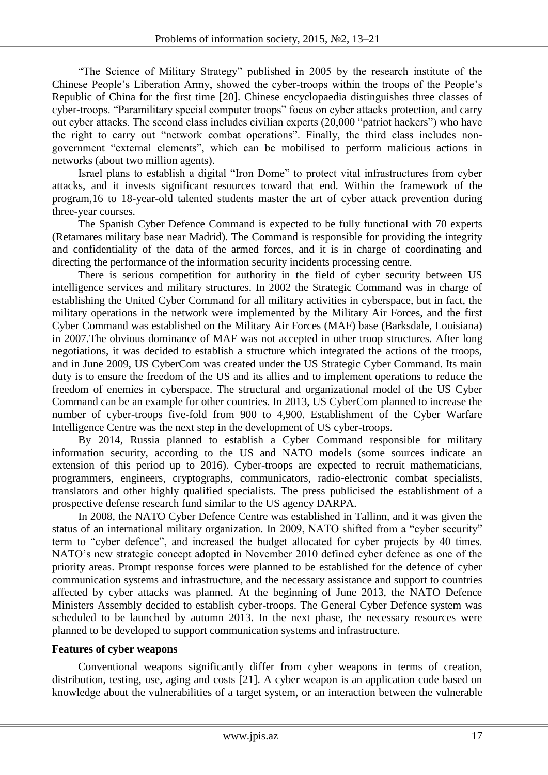"The Science of Military Strategy" published in 2005 by the research institute of the Chinese People's Liberation Army, showed the cyber-troops within the troops of the People's Republic of China for the first time [20]. Chinese encyclopaedia distinguishes three classes of cyber-troops. "Paramilitary special computer troops" focus on cyber attacks protection, and carry out cyber attacks. The second class includes civilian experts (20,000 "patriot hackers") who have the right to carry out "network combat operations". Finally, the third class includes nongovernment "external elements", which can be mobilised to perform malicious actions in networks (about two million agents).

Israel plans to establish a digital "Iron Dome" to protect vital infrastructures from cyber attacks, and it invests significant resources toward that end. Within the framework of the program,16 to 18-year-old talented students master the art of cyber attack prevention during three-year courses.

The Spanish Cyber Defence Command is expected to be fully functional with 70 experts (Retamares military base near Madrid). The Command is responsible for providing the integrity and confidentiality of the data of the armed forces, and it is in charge of coordinating and directing the performance of the information security incidents processing centre.

There is serious competition for authority in the field of cyber security between US intelligence services and military structures. In 2002 the Strategic Command was in charge of establishing the United Cyber Command for all military activities in cyberspace, but in fact, the military operations in the network were implemented by the Military Air Forces, and the first Cyber Command was established on the Military Air Forces (MAF) base (Barksdale, Louisiana) in 2007.The obvious dominance of MAF was not accepted in other troop structures. After long negotiations, it was decided to establish a structure which integrated the actions of the troops, and in June 2009, US CyberCom was created under the US Strategic Cyber Command. Its main duty is to ensure the freedom of the US and its allies and to implement operations to reduce the freedom of enemies in cyberspace. The structural and organizational model of the US Cyber Command can be an example for other countries. In 2013, US CyberCom planned to increase the number of cyber-troops five-fold from 900 to 4,900. Establishment of the Cyber Warfare Intelligence Centre was the next step in the development of US cyber-troops.

By 2014, Russia planned to establish a Cyber Command responsible for military information security, according to the US and NATO models (some sources indicate an extension of this period up to 2016). Cyber-troops are expected to recruit mathematicians, programmers, engineers, cryptographs, communicators, radio-electronic combat specialists, translators and other highly qualified specialists. The press publicised the establishment of a prospective defense research fund similar to the US agency DARPA.

In 2008, the NATO Cyber Defence Centre was established in Tallinn, and it was given the status of an international military organization. In 2009, NATO shifted from a "cyber security" term to "cyber defence", and increased the budget allocated for cyber projects by 40 times. NATO's new strategic concept adopted in November 2010 defined cyber defence as one of the priority areas. Prompt response forces were planned to be established for the defence of cyber communication systems and infrastructure, and the necessary assistance and support to countries affected by cyber attacks was planned. At the beginning of June 2013, the NATO Defence Ministers Assembly decided to establish cyber-troops. The General Cyber Defence system was scheduled to be launched by autumn 2013. In the next phase, the necessary resources were planned to be developed to support communication systems and infrastructure.

## **Features of cyber weapons**

Conventional weapons significantly differ from cyber weapons in terms of creation, distribution, testing, use, aging and costs [21]. A cyber weapon is an application code based on knowledge about the vulnerabilities of a target system, or an interaction between the vulnerable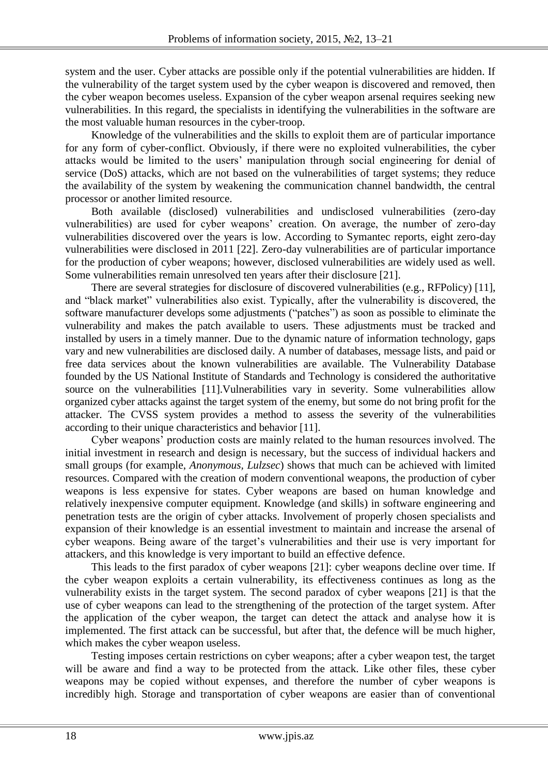system and the user. Cyber attacks are possible only if the potential vulnerabilities are hidden. If the vulnerability of the target system used by the cyber weapon is discovered and removed, then the cyber weapon becomes useless. Expansion of the cyber weapon arsenal requires seeking new vulnerabilities. In this regard, the specialists in identifying the vulnerabilities in the software are the most valuable human resources in the cyber-troop.

Knowledge of the vulnerabilities and the skills to exploit them are of particular importance for any form of cyber-conflict. Obviously, if there were no exploited vulnerabilities, the cyber attacks would be limited to the users' manipulation through social engineering for denial of service (DoS) attacks, which are not based on the vulnerabilities of target systems; they reduce the availability of the system by weakening the communication channel bandwidth, the central processor or another limited resource.

Both available (disclosed) vulnerabilities and undisclosed vulnerabilities (zero-day vulnerabilities) are used for cyber weapons' creation. On average, the number of zero-day vulnerabilities discovered over the years is low. According to Symantec reports, eight zero-day vulnerabilities were disclosed in 2011 [22]. Zero-day vulnerabilities are of particular importance for the production of cyber weapons; however, disclosed vulnerabilities are widely used as well. Some vulnerabilities remain unresolved ten years after their disclosure [21].

There are several strategies for disclosure of discovered vulnerabilities (e.g., RFPolicy) [11], and "black market" vulnerabilities also exist. Typically, after the vulnerability is discovered, the software manufacturer develops some adjustments ("patches") as soon as possible to eliminate the vulnerability and makes the patch available to users. These adjustments must be tracked and installed by users in a timely manner. Due to the dynamic nature of information technology, gaps vary and new vulnerabilities are disclosed daily. A number of databases, message lists, and paid or free data services about the known vulnerabilities are available. The Vulnerability Database founded by the US National Institute of Standards and Technology is considered the authoritative source on the vulnerabilities [11].Vulnerabilities vary in severity. Some vulnerabilities allow organized cyber attacks against the target system of the enemy, but some do not bring profit for the attacker. The CVSS system provides a method to assess the severity of the vulnerabilities according to their unique characteristics and behavior [11].

Cyber weapons' production costs are mainly related to the human resources involved. The initial investment in research and design is necessary, but the success of individual hackers and small groups (for example, *Anonymous, Lulzsec*) shows that much can be achieved with limited resources. Compared with the creation of modern conventional weapons, the production of cyber weapons is less expensive for states. Cyber weapons are based on human knowledge and relatively inexpensive computer equipment. Knowledge (and skills) in software engineering and penetration tests are the origin of cyber attacks. Involvement of properly chosen specialists and expansion of their knowledge is an essential investment to maintain and increase the arsenal of cyber weapons. Being aware of the target's vulnerabilities and their use is very important for attackers, and this knowledge is very important to build an effective defence.

This leads to the first paradox of cyber weapons [21]: cyber weapons decline over time. If the cyber weapon exploits a certain vulnerability, its effectiveness continues as long as the vulnerability exists in the target system. The second paradox of cyber weapons [21] is that the use of cyber weapons can lead to the strengthening of the protection of the target system. After the application of the cyber weapon, the target can detect the attack and analyse how it is implemented. The first attack can be successful, but after that, the defence will be much higher, which makes the cyber weapon useless.

Testing imposes certain restrictions on cyber weapons; after a cyber weapon test, the target will be aware and find a way to be protected from the attack. Like other files, these cyber weapons may be copied without expenses, and therefore the number of cyber weapons is incredibly high. Storage and transportation of cyber weapons are easier than of conventional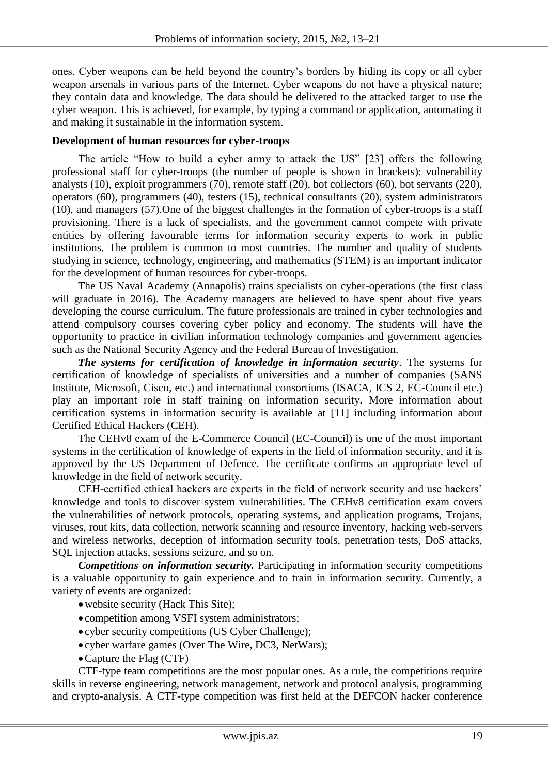ones. Cyber weapons can be held beyond the country's borders by hiding its copy or all cyber weapon arsenals in various parts of the Internet. Cyber weapons do not have a physical nature; they contain data and knowledge. The data should be delivered to the attacked target to use the cyber weapon. This is achieved, for example, by typing a command or application, automating it and making it sustainable in the information system.

## **Development of human resources for cyber-troops**

The article "How to build a cyber army to attack the US" [23] offers the following professional staff for cyber-troops (the number of people is shown in brackets): vulnerability analysts (10), exploit programmers (70), remote staff (20), bot collectors (60), bot servants (220), operators (60), programmers (40), testers (15), technical consultants (20), system administrators (10), and managers (57).One of the biggest challenges in the formation of cyber-troops is a staff provisioning. There is a lack of specialists, and the government cannot compete with private entities by offering favourable terms for information security experts to work in public institutions. The problem is common to most countries. The number and quality of students studying in science, technology, engineering, and mathematics (STEM) is an important indicator for the development of human resources for cyber-troops.

The US Naval Academy (Annapolis) trains specialists on cyber-operations (the first class will graduate in 2016). The Academy managers are believed to have spent about five years developing the course curriculum. The future professionals are trained in cyber technologies and attend compulsory courses covering cyber policy and economy. The students will have the opportunity to practice in civilian information technology companies and government agencies such as the National Security Agency and the Federal Bureau of Investigation.

*The systems for certification of knowledge in information security*. The systems for certification of knowledge of specialists of universities and a number of companies (SANS Institute, Microsoft, Cisco, etc.) and international consortiums (ISACA, ICS 2, EC-Council etc.) play an important role in staff training on information security. More information about certification systems in information security is available at [11] including information about Certified Ethical Hackers (CEH).

The CEHv8 exam of the E-Commerce Council (EC-Council) is one of the most important systems in the certification of knowledge of experts in the field of information security, and it is approved by the US Department of Defence. The certificate confirms an appropriate level of knowledge in the field of network security.

CEH-certified ethical hackers are experts in the field of network security and use hackers' knowledge and tools to discover system vulnerabilities. The CEHv8 certification exam covers the vulnerabilities of network protocols, operating systems, and application programs, Trojans, viruses, rout kits, data collection, network scanning and resource inventory, hacking web-servers and wireless networks, deception of information security tools, penetration tests, DoS attacks, SQL injection attacks, sessions seizure, and so on.

*Competitions on information security.* Participating in information security competitions is a valuable opportunity to gain experience and to train in information security. Currently, a variety of events are organized:

- website security (Hack This Site);
- competition among VSFI system administrators;
- cyber security competitions (US Cyber Challenge);
- cyber warfare games (Over The Wire, DC3, NetWars);
- Capture the Flag (CTF)

CTF-type team competitions are the most popular ones. As a rule, the competitions require skills in reverse engineering, network management, network and protocol analysis, programming and crypto-analysis. A CTF-type competition was first held at the DEFCON hacker conference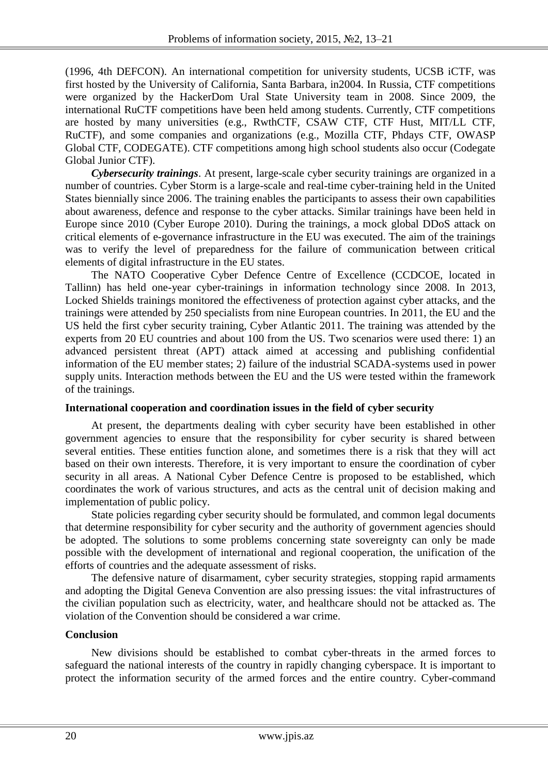(1996, 4th DEFCON). An international competition for university students, UCSB iCTF, was first hosted by the University of California, Santa Barbara, in2004. In Russia, CTF competitions were organized by the HackerDom Ural State University team in 2008. Since 2009, the international RuCTF competitions have been held among students. Currently, CTF competitions are hosted by many universities (e.g., RwthCTF, CSAW CTF, CTF Hust, MIT/LL CTF, RuCTF), and some companies and organizations (e.g., Mozilla CTF, Phdays CTF, OWASP Global CTF, CODEGATE). CTF competitions among high school students also occur (Codegate Global Junior CTF).

*Cybersecurity trainings*. At present, large-scale cyber security trainings are organized in a number of countries. Cyber Storm is a large-scale and real-time cyber-training held in the United States biennially since 2006. The training enables the participants to assess their own capabilities about awareness, defence and response to the cyber attacks. Similar trainings have been held in Europe since 2010 (Cyber Europe 2010). During the trainings, a mock global DDoS attack on critical elements of e-governance infrastructure in the EU was executed. The aim of the trainings was to verify the level of preparedness for the failure of communication between critical elements of digital infrastructure in the EU states.

The NATO Cooperative Cyber Defence Centre of Excellence (CCDCOE, located in Tallinn) has held one-year cyber-trainings in information technology since 2008. In 2013, Locked Shields trainings monitored the effectiveness of protection against cyber attacks, and the trainings were attended by 250 specialists from nine European countries. In 2011, the EU and the US held the first cyber security training, Cyber Atlantic 2011. The training was attended by the experts from 20 EU countries and about 100 from the US. Two scenarios were used there: 1) an advanced persistent threat (APT) attack aimed at accessing and publishing confidential information of the EU member states; 2) failure of the industrial SCADA-systems used in power supply units. Interaction methods between the EU and the US were tested within the framework of the trainings.

# **International cooperation and coordination issues in the field of cyber security**

At present, the departments dealing with cyber security have been established in other government agencies to ensure that the responsibility for cyber security is shared between several entities. These entities function alone, and sometimes there is a risk that they will act based on their own interests. Therefore, it is very important to ensure the coordination of cyber security in all areas. A National Cyber Defence Centre is proposed to be established, which coordinates the work of various structures, and acts as the central unit of decision making and implementation of public policy.

State policies regarding cyber security should be formulated, and common legal documents that determine responsibility for cyber security and the authority of government agencies should be adopted. The solutions to some problems concerning state sovereignty can only be made possible with the development of international and regional cooperation, the unification of the efforts of countries and the adequate assessment of risks.

The defensive nature of disarmament, cyber security strategies, stopping rapid armaments and adopting the Digital Geneva Convention are also pressing issues: the vital infrastructures of the civilian population such as electricity, water, and healthcare should not be attacked as. The violation of the Convention should be considered a war crime.

# **Conclusion**

New divisions should be established to combat cyber-threats in the armed forces to safeguard the national interests of the country in rapidly changing cyberspace. It is important to protect the information security of the armed forces and the entire country. Cyber-command